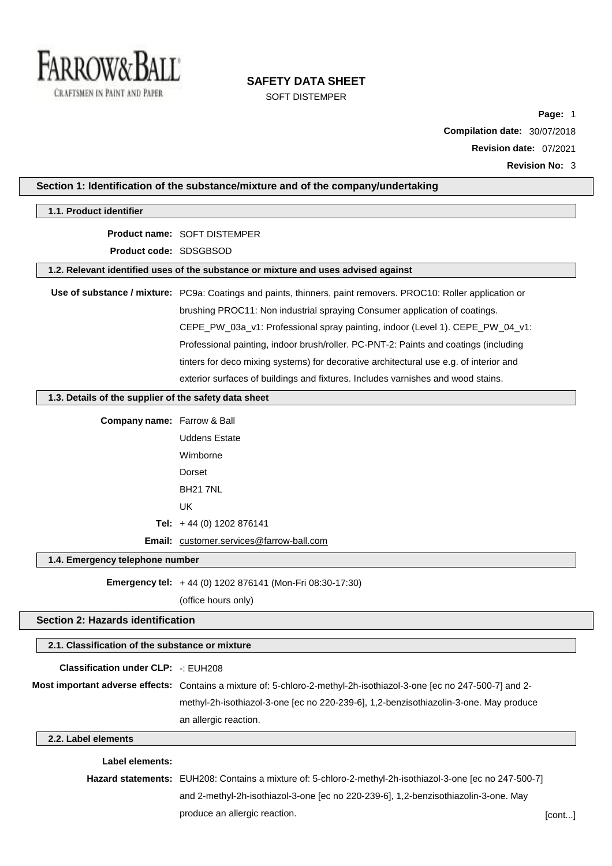

# **SAFETY DATA SHEET**

SOFT DISTEMPER

**Page:** 1 **Compilation date:** 30/07/2018 **Revision date:** 07/2021 **Revision No:** 3

| Section 1: Identification of the substance/mixture and of the company/undertaking |                                                                                                                       |        |
|-----------------------------------------------------------------------------------|-----------------------------------------------------------------------------------------------------------------------|--------|
| 1.1. Product identifier                                                           |                                                                                                                       |        |
|                                                                                   | <b>Product name: SOFT DISTEMPER</b>                                                                                   |        |
| Product code: SDSGBSOD                                                            |                                                                                                                       |        |
|                                                                                   | 1.2. Relevant identified uses of the substance or mixture and uses advised against                                    |        |
|                                                                                   | Use of substance / mixture: PC9a: Coatings and paints, thinners, paint removers. PROC10: Roller application or        |        |
|                                                                                   | brushing PROC11: Non industrial spraying Consumer application of coatings.                                            |        |
|                                                                                   | CEPE_PW_03a_v1: Professional spray painting, indoor (Level 1). CEPE_PW_04_v1:                                         |        |
|                                                                                   | Professional painting, indoor brush/roller. PC-PNT-2: Paints and coatings (including                                  |        |
|                                                                                   | tinters for deco mixing systems) for decorative architectural use e.g. of interior and                                |        |
|                                                                                   | exterior surfaces of buildings and fixtures. Includes varnishes and wood stains.                                      |        |
| 1.3. Details of the supplier of the safety data sheet                             |                                                                                                                       |        |
| <b>Company name:</b> Farrow & Ball                                                |                                                                                                                       |        |
|                                                                                   | <b>Uddens Estate</b>                                                                                                  |        |
|                                                                                   | Wimborne                                                                                                              |        |
|                                                                                   | Dorset                                                                                                                |        |
|                                                                                   | <b>BH21 7NL</b>                                                                                                       |        |
|                                                                                   | UK                                                                                                                    |        |
|                                                                                   | Tel: $+44$ (0) 1202 876141                                                                                            |        |
|                                                                                   | Email: customer.services@farrow-ball.com                                                                              |        |
| 1.4. Emergency telephone number                                                   |                                                                                                                       |        |
|                                                                                   | Emergency tel: +44 (0) 1202 876141 (Mon-Fri 08:30-17:30)                                                              |        |
|                                                                                   | (office hours only)                                                                                                   |        |
| <b>Section 2: Hazards identification</b>                                          |                                                                                                                       |        |
| 2.1. Classification of the substance or mixture                                   |                                                                                                                       |        |
| <b>Classification under CLP: -: EUH208</b>                                        |                                                                                                                       |        |
|                                                                                   | Most important adverse effects: Contains a mixture of: 5-chloro-2-methyl-2h-isothiazol-3-one [ec no 247-500-7] and 2- |        |
|                                                                                   | methyl-2h-isothiazol-3-one [ec no 220-239-6], 1,2-benzisothiazolin-3-one. May produce                                 |        |
|                                                                                   | an allergic reaction.                                                                                                 |        |
| 2.2. Label elements                                                               |                                                                                                                       |        |
| <b>Label elements:</b>                                                            |                                                                                                                       |        |
|                                                                                   | Hazard statements: EUH208: Contains a mixture of: 5-chloro-2-methyl-2h-isothiazol-3-one [ec no 247-500-7]             |        |
|                                                                                   | and 2-methyl-2h-isothiazol-3-one [ec no 220-239-6], 1,2-benzisothiazolin-3-one. May                                   |        |
|                                                                                   | produce an allergic reaction.                                                                                         | [cont] |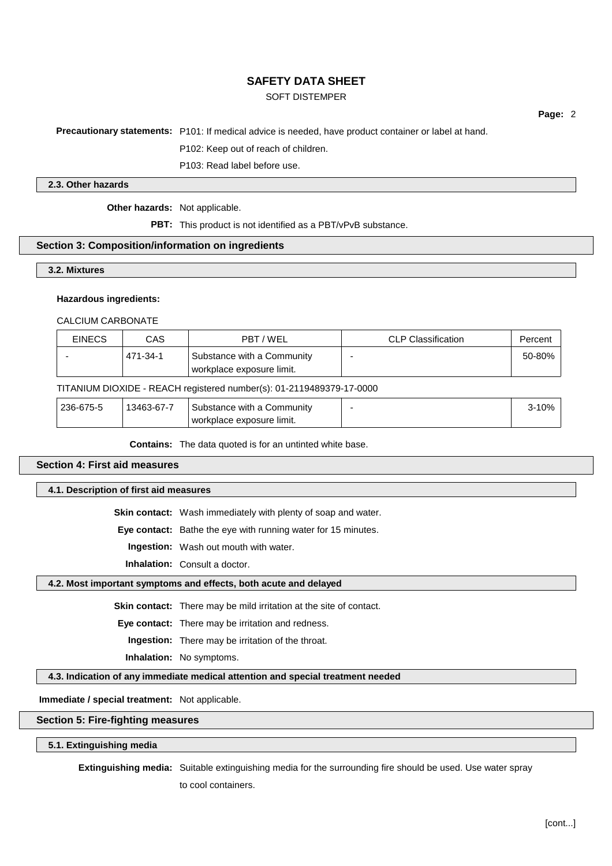## SOFT DISTEMPER

**Page:** 2

**Precautionary statements:** P101: If medical advice is needed, have product container or label at hand.

P102: Keep out of reach of children.

P103: Read label before use.

#### **2.3. Other hazards**

**Other hazards:** Not applicable.

**PBT:** This product is not identified as a PBT/vPvB substance.

#### **Section 3: Composition/information on ingredients**

**3.2. Mixtures**

#### **Hazardous ingredients:**

CALCIUM CARBONATE

| <b>EINECS</b> | CAS      | PBT / WEL                                               | <b>CLP Classification</b> | Percent |
|---------------|----------|---------------------------------------------------------|---------------------------|---------|
|               | 471-34-1 | Substance with a Community<br>workplace exposure limit. |                           | 50-80%  |

#### TITANIUM DIOXIDE - REACH registered number(s): 01-2119489379-17-0000

| 236-675-5 | 13463-67-7 | Substance with a Community | <u>3-10% </u> |
|-----------|------------|----------------------------|---------------|
|           |            | workplace exposure limit.  |               |

**Contains:** The data quoted is for an untinted white base.

## **Section 4: First aid measures**

**4.1. Description of first aid measures**

**Skin contact:** Wash immediately with plenty of soap and water.

**Eye contact:** Bathe the eye with running water for 15 minutes.

**Ingestion:** Wash out mouth with water.

**Inhalation:** Consult a doctor.

#### **4.2. Most important symptoms and effects, both acute and delayed**

**Skin contact:** There may be mild irritation at the site of contact.

**Eye contact:** There may be irritation and redness.

**Ingestion:** There may be irritation of the throat.

**Inhalation:** No symptoms.

**4.3. Indication of any immediate medical attention and special treatment needed**

**Immediate / special treatment:** Not applicable.

## **Section 5: Fire-fighting measures**

#### **5.1. Extinguishing media**

**Extinguishing media:** Suitable extinguishing media for the surrounding fire should be used. Use water spray

to cool containers.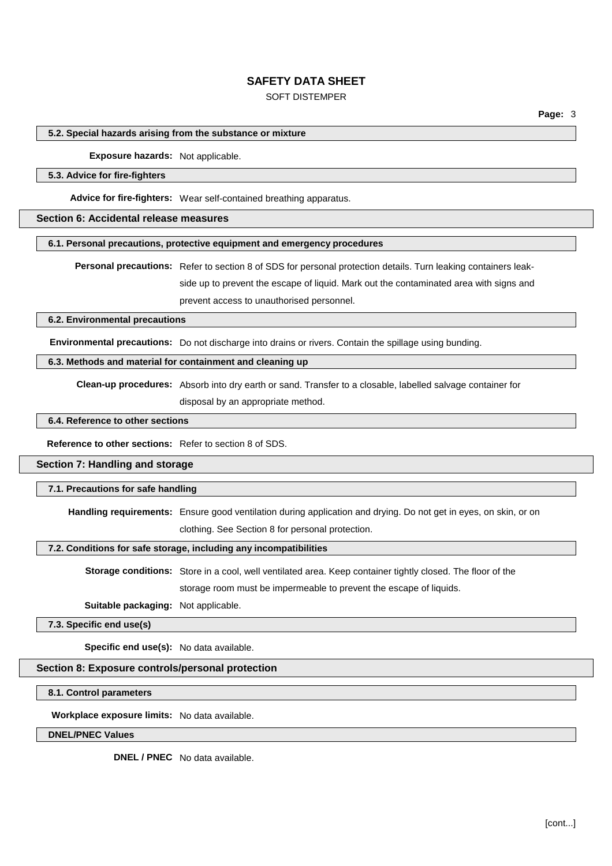## SOFT DISTEMPER

**Page:** 3

#### **5.2. Special hazards arising from the substance or mixture**

**Exposure hazards:** Not applicable.

#### **5.3. Advice for fire-fighters**

**Advice for fire-fighters:** Wear self-contained breathing apparatus.

#### **Section 6: Accidental release measures**

#### **6.1. Personal precautions, protective equipment and emergency procedures**

**Personal precautions:** Refer to section 8 of SDS for personal protection details. Turn leaking containers leakside up to prevent the escape of liquid. Mark out the contaminated area with signs and prevent access to unauthorised personnel.

### **6.2. Environmental precautions**

**Environmental precautions:** Do not discharge into drains or rivers. Contain the spillage using bunding.

#### **6.3. Methods and material for containment and cleaning up**

**Clean-up procedures:** Absorb into dry earth or sand. Transfer to a closable, labelled salvage container for

disposal by an appropriate method.

#### **6.4. Reference to other sections**

**Reference to other sections:** Refer to section 8 of SDS.

#### **Section 7: Handling and storage**

#### **7.1. Precautions for safe handling**

**Handling requirements:** Ensure good ventilation during application and drying. Do not get in eyes, on skin, or on clothing. See Section 8 for personal protection.

#### **7.2. Conditions for safe storage, including any incompatibilities**

**Storage conditions:** Store in a cool, well ventilated area. Keep container tightly closed. The floor of the storage room must be impermeable to prevent the escape of liquids.

**Suitable packaging:** Not applicable.

**7.3. Specific end use(s)**

**Specific end use(s):** No data available.

### **Section 8: Exposure controls/personal protection**

**8.1. Control parameters**

**Workplace exposure limits:** No data available.

**DNEL/PNEC Values**

**DNEL / PNEC** No data available.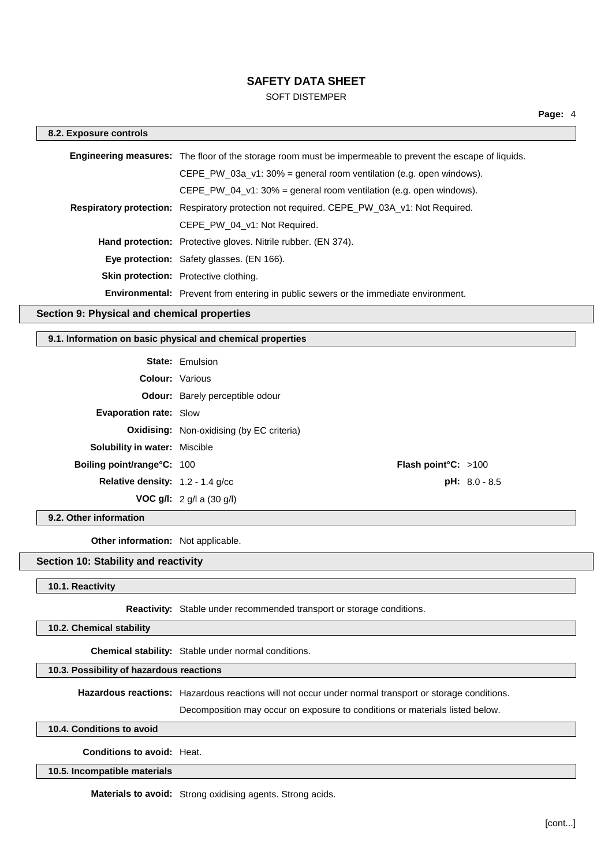## SOFT DISTEMPER

| 8.2. Exposure controls |                                                                                                                  |
|------------------------|------------------------------------------------------------------------------------------------------------------|
|                        | <b>Engineering measures:</b> The floor of the storage room must be impermeable to prevent the escape of liquids. |
|                        | CEPE PW 03a $v1:30%$ = general room ventilation (e.g. open windows).                                             |
|                        | CEPE PW 04 $v1:30\%$ = general room ventilation (e.g. open windows).                                             |
|                        | <b>Respiratory protection:</b> Respiratory protection not required. CEPE PW 03A v1: Not Required.                |
|                        | CEPE PW 04 v1: Not Required.                                                                                     |
|                        | <b>Hand protection:</b> Protective gloves. Nitrile rubber. (EN 374).                                             |
|                        | <b>Eye protection:</b> Safety glasses. (EN 166).                                                                 |
|                        | <b>Skin protection:</b> Protective clothing.                                                                     |
|                        | <b>Environmental:</b> Prevent from entering in public sewers or the immediate environment.                       |

## **Section 9: Physical and chemical properties**

## **9.1. Information on basic physical and chemical properties**

| <b>State: Emulsion</b>                           |                               |
|--------------------------------------------------|-------------------------------|
| <b>Colour: Various</b>                           |                               |
| <b>Odour:</b> Barely perceptible odour           |                               |
| <b>Evaporation rate: Slow</b>                    |                               |
| <b>Oxidising:</b> Non-oxidising (by EC criteria) |                               |
| <b>Solubility in water: Miscible</b>             |                               |
| <b>Boiling point/range°C: 100</b>                |                               |
| <b>Relative density:</b> $1.2 - 1.4$ g/cc        | $pH: 8.0 - 8.5$               |
| <b>VOC g/l:</b> $2$ g/l a (30 g/l)               |                               |
|                                                  | <b>Flash point °C:</b> $>100$ |

**9.2. Other information**

**Other information:** Not applicable.

## **Section 10: Stability and reactivity**

### **10.1. Reactivity**

**Reactivity:** Stable under recommended transport or storage conditions.

**10.2. Chemical stability**

**Chemical stability:** Stable under normal conditions.

### **10.3. Possibility of hazardous reactions**

**Hazardous reactions:** Hazardous reactions will not occur under normal transport or storage conditions.

Decomposition may occur on exposure to conditions or materials listed below.

## **10.4. Conditions to avoid**

**Conditions to avoid:** Heat.

**10.5. Incompatible materials**

**Materials to avoid:** Strong oxidising agents. Strong acids.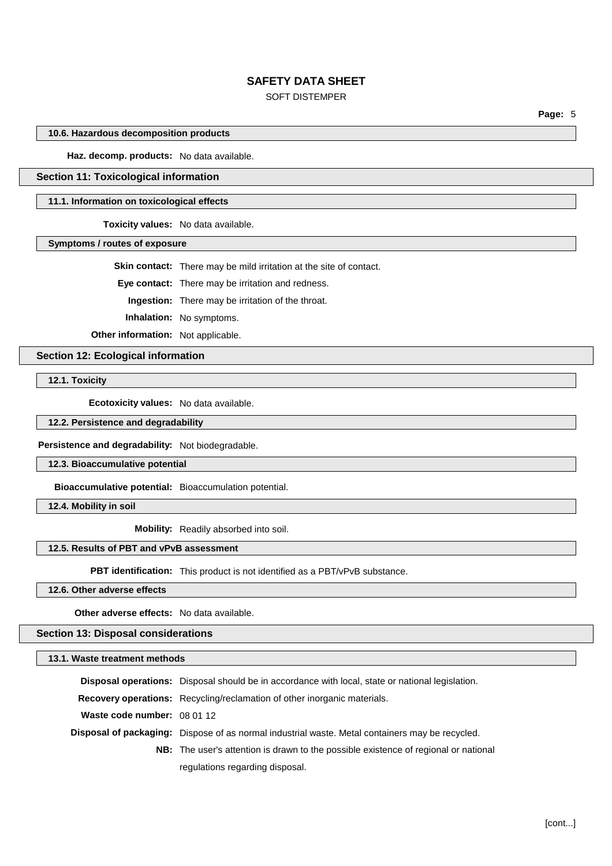## SOFT DISTEMPER

**Page:** 5

#### **10.6. Hazardous decomposition products**

**Haz. decomp. products:** No data available.

## **Section 11: Toxicological information**

#### **11.1. Information on toxicological effects**

**Toxicity values:** No data available.

**Symptoms / routes of exposure**

**Skin contact:** There may be mild irritation at the site of contact.

**Eye contact:** There may be irritation and redness.

**Ingestion:** There may be irritation of the throat.

**Inhalation:** No symptoms.

**Other information:** Not applicable.

**Section 12: Ecological information**

**12.1. Toxicity**

**Ecotoxicity values:** No data available.

**12.2. Persistence and degradability**

**Persistence and degradability:** Not biodegradable.

**12.3. Bioaccumulative potential**

**Bioaccumulative potential:** Bioaccumulation potential.

**12.4. Mobility in soil**

**Mobility:** Readily absorbed into soil.

#### **12.5. Results of PBT and vPvB assessment**

**PBT identification:** This product is not identified as a PBT/vPvB substance.

**12.6. Other adverse effects**

**Other adverse effects:** No data available.

#### **Section 13: Disposal considerations**

**13.1. Waste treatment methods**

|                             | <b>Disposal operations:</b> Disposal should be in accordance with local, state or national legislation. |
|-----------------------------|---------------------------------------------------------------------------------------------------------|
|                             | <b>Recovery operations:</b> Recycling/reclamation of other inorganic materials.                         |
| Waste code number: 08 01 12 |                                                                                                         |
|                             | Disposal of packaging: Dispose of as normal industrial waste. Metal containers may be recycled.         |
|                             | <b>NB:</b> The user's attention is drawn to the possible existence of regional or national              |
|                             | regulations regarding disposal.                                                                         |